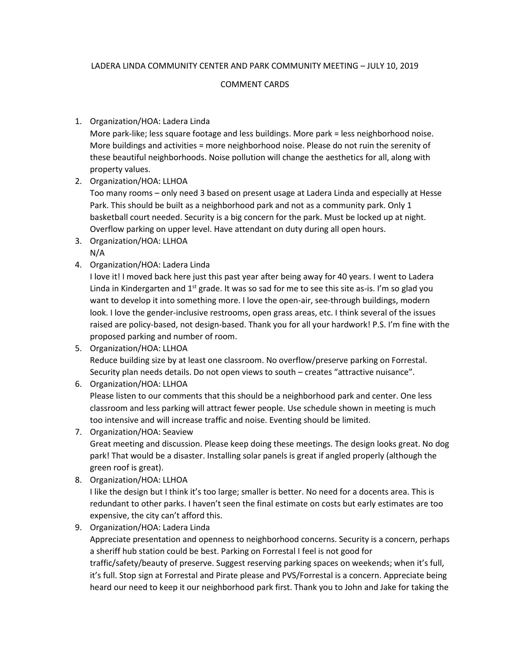# LADERA LINDA COMMUNITY CENTER AND PARK COMMUNITY MEETING – JULY 10, 2019

#### COMMENT CARDS

# 1. Organization/HOA: Ladera Linda

More park-like; less square footage and less buildings. More park = less neighborhood noise. More buildings and activities = more neighborhood noise. Please do not ruin the serenity of these beautiful neighborhoods. Noise pollution will change the aesthetics for all, along with property values.

2. Organization/HOA: LLHOA

Too many rooms – only need 3 based on present usage at Ladera Linda and especially at Hesse Park. This should be built as a neighborhood park and not as a community park. Only 1 basketball court needed. Security is a big concern for the park. Must be locked up at night. Overflow parking on upper level. Have attendant on duty during all open hours.

- 3. Organization/HOA: LLHOA N/A
- 4. Organization/HOA: Ladera Linda

I love it! I moved back here just this past year after being away for 40 years. I went to Ladera Linda in Kindergarten and  $1<sup>st</sup>$  grade. It was so sad for me to see this site as-is. I'm so glad you want to develop it into something more. I love the open-air, see-through buildings, modern look. I love the gender-inclusive restrooms, open grass areas, etc. I think several of the issues raised are policy-based, not design-based. Thank you for all your hardwork! P.S. I'm fine with the proposed parking and number of room.

5. Organization/HOA: LLHOA

Reduce building size by at least one classroom. No overflow/preserve parking on Forrestal. Security plan needs details. Do not open views to south – creates "attractive nuisance".

6. Organization/HOA: LLHOA

Please listen to our comments that this should be a neighborhood park and center. One less classroom and less parking will attract fewer people. Use schedule shown in meeting is much too intensive and will increase traffic and noise. Eventing should be limited.

7. Organization/HOA: Seaview

Great meeting and discussion. Please keep doing these meetings. The design looks great. No dog park! That would be a disaster. Installing solar panels is great if angled properly (although the green roof is great).

8. Organization/HOA: LLHOA

I like the design but I think it's too large; smaller is better. No need for a docents area. This is redundant to other parks. I haven't seen the final estimate on costs but early estimates are too expensive, the city can't afford this.

9. Organization/HOA: Ladera Linda

Appreciate presentation and openness to neighborhood concerns. Security is a concern, perhaps a sheriff hub station could be best. Parking on Forrestal I feel is not good for

traffic/safety/beauty of preserve. Suggest reserving parking spaces on weekends; when it's full, it's full. Stop sign at Forrestal and Pirate please and PVS/Forrestal is a concern. Appreciate being heard our need to keep it our neighborhood park first. Thank you to John and Jake for taking the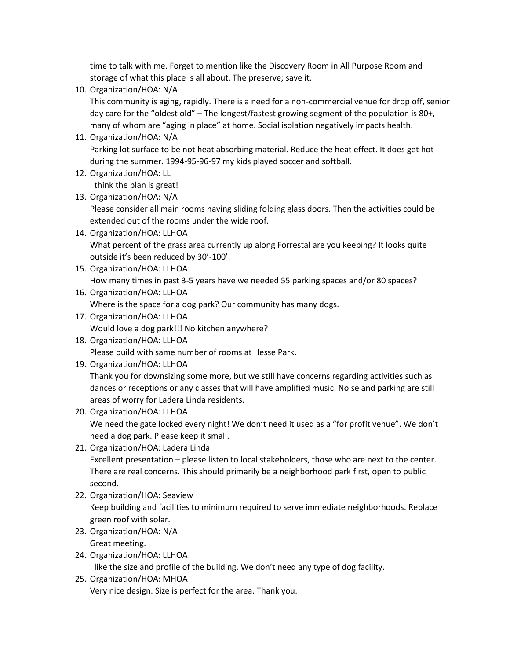time to talk with me. Forget to mention like the Discovery Room in All Purpose Room and storage of what this place is all about. The preserve; save it.

10. Organization/HOA: N/A

This community is aging, rapidly. There is a need for a non-commercial venue for drop off, senior day care for the "oldest old" – The longest/fastest growing segment of the population is 80+, many of whom are "aging in place" at home. Social isolation negatively impacts health.

11. Organization/HOA: N/A

Parking lot surface to be not heat absorbing material. Reduce the heat effect. It does get hot during the summer. 1994-95-96-97 my kids played soccer and softball.

- 12. Organization/HOA: LL I think the plan is great!
- 13. Organization/HOA: N/A Please consider all main rooms having sliding folding glass doors. Then the activities could be
	- extended out of the rooms under the wide roof.
- 14. Organization/HOA: LLHOA What percent of the grass area currently up along Forrestal are you keeping? It looks quite outside it's been reduced by 30'-100'.
- 15. Organization/HOA: LLHOA How many times in past 3-5 years have we needed 55 parking spaces and/or 80 spaces?
- 16. Organization/HOA: LLHOA Where is the space for a dog park? Our community has many dogs.
- 17. Organization/HOA: LLHOA Would love a dog park!!! No kitchen anywhere?
- 18. Organization/HOA: LLHOA Please build with same number of rooms at Hesse Park.
- 19. Organization/HOA: LLHOA

Thank you for downsizing some more, but we still have concerns regarding activities such as dances or receptions or any classes that will have amplified music. Noise and parking are still areas of worry for Ladera Linda residents.

20. Organization/HOA: LLHOA

We need the gate locked every night! We don't need it used as a "for profit venue". We don't need a dog park. Please keep it small.

21. Organization/HOA: Ladera Linda

Excellent presentation – please listen to local stakeholders, those who are next to the center. There are real concerns. This should primarily be a neighborhood park first, open to public second.

- 22. Organization/HOA: Seaview Keep building and facilities to minimum required to serve immediate neighborhoods. Replace green roof with solar.
- 23. Organization/HOA: N/A Great meeting.
- 24. Organization/HOA: LLHOA I like the size and profile of the building. We don't need any type of dog facility.
- 25. Organization/HOA: MHOA Very nice design. Size is perfect for the area. Thank you.